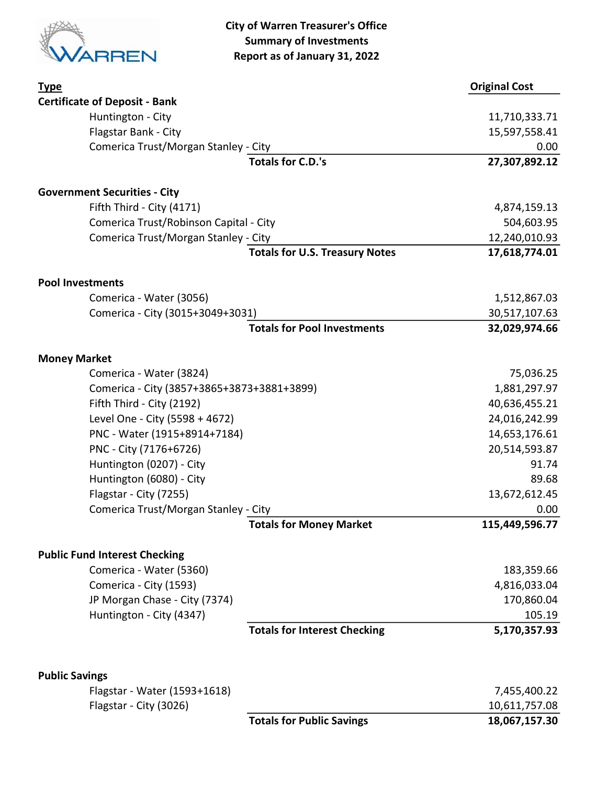

City of Warren Treasurer's Office Summary of Investments Report as of January 31, 2022

| <b>Type</b>                                           |                                       | <b>Original Cost</b> |
|-------------------------------------------------------|---------------------------------------|----------------------|
| <b>Certificate of Deposit - Bank</b>                  |                                       |                      |
| Huntington - City                                     |                                       | 11,710,333.71        |
| Flagstar Bank - City                                  |                                       | 15,597,558.41        |
| Comerica Trust/Morgan Stanley - City                  |                                       | 0.00                 |
|                                                       | <b>Totals for C.D.'s</b>              | 27,307,892.12        |
| <b>Government Securities - City</b>                   |                                       |                      |
| Fifth Third - City (4171)                             |                                       | 4,874,159.13         |
| Comerica Trust/Robinson Capital - City                |                                       | 504,603.95           |
| Comerica Trust/Morgan Stanley - City                  |                                       | 12,240,010.93        |
|                                                       | <b>Totals for U.S. Treasury Notes</b> | 17,618,774.01        |
| <b>Pool Investments</b>                               |                                       |                      |
| Comerica - Water (3056)                               |                                       | 1,512,867.03         |
| Comerica - City (3015+3049+3031)                      |                                       | 30,517,107.63        |
|                                                       | <b>Totals for Pool Investments</b>    | 32,029,974.66        |
| <b>Money Market</b>                                   |                                       |                      |
| Comerica - Water (3824)                               |                                       | 75,036.25            |
| Comerica - City (3857+3865+3873+3881+3899)            |                                       | 1,881,297.97         |
| Fifth Third - City (2192)                             |                                       | 40,636,455.21        |
| Level One - City (5598 + 4672)                        |                                       | 24,016,242.99        |
| PNC - Water (1915+8914+7184)                          |                                       | 14,653,176.61        |
| PNC - City (7176+6726)                                |                                       | 20,514,593.87        |
| Huntington (0207) - City                              |                                       | 91.74                |
| Huntington (6080) - City                              |                                       | 89.68                |
| Flagstar - City (7255)                                |                                       | 13,672,612.45        |
| Comerica Trust/Morgan Stanley - City                  |                                       | 0.00                 |
|                                                       | <b>Totals for Money Market</b>        | 115,449,596.77       |
| <b>Public Fund Interest Checking</b>                  |                                       |                      |
| Comerica - Water (5360)                               |                                       | 183,359.66           |
| Comerica - City (1593)                                |                                       | 4,816,033.04         |
| JP Morgan Chase - City (7374)                         |                                       | 170,860.04           |
| Huntington - City (4347)                              |                                       | 105.19               |
|                                                       | <b>Totals for Interest Checking</b>   | 5,170,357.93         |
|                                                       |                                       |                      |
| <b>Public Savings</b><br>Flagstar - Water (1593+1618) |                                       | 7,455,400.22         |
| Flagstar - City (3026)                                |                                       | 10,611,757.08        |
|                                                       | <b>Totals for Public Savings</b>      | 18,067,157.30        |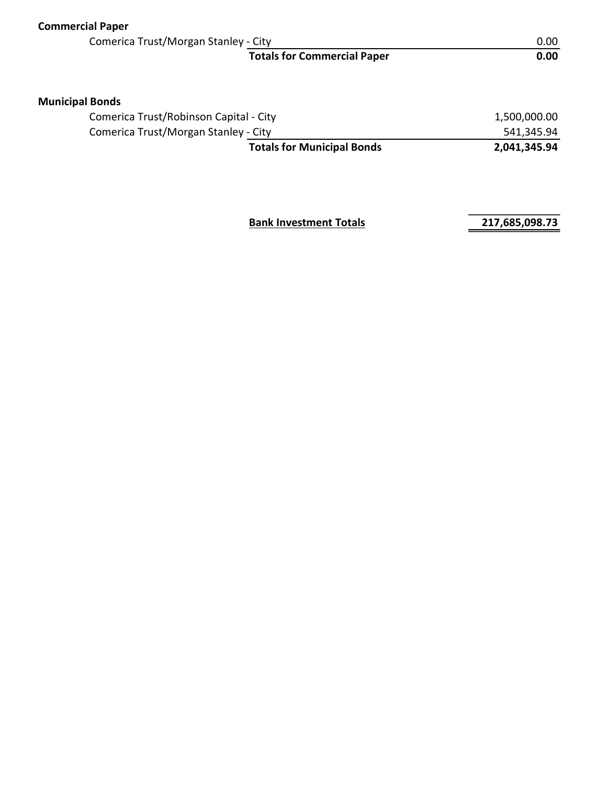| <b>Commercial Paper</b>                |                                    |                   |  |
|----------------------------------------|------------------------------------|-------------------|--|
| Comerica Trust/Morgan Stanley - City   |                                    | 0.00 <sub>1</sub> |  |
|                                        | <b>Totals for Commercial Paper</b> | 0.00              |  |
| <b>Municipal Bonds</b>                 |                                    |                   |  |
| Comerica Trust/Robinson Capital - City |                                    | 1,500,000.00      |  |
| Comerica Trust/Morgan Stanley - City   |                                    | 541,345.94        |  |
|                                        | <b>Totals for Municipal Bonds</b>  | 2,041,345.94      |  |
|                                        |                                    |                   |  |

**Bank Investment Totals 217,685,098.73**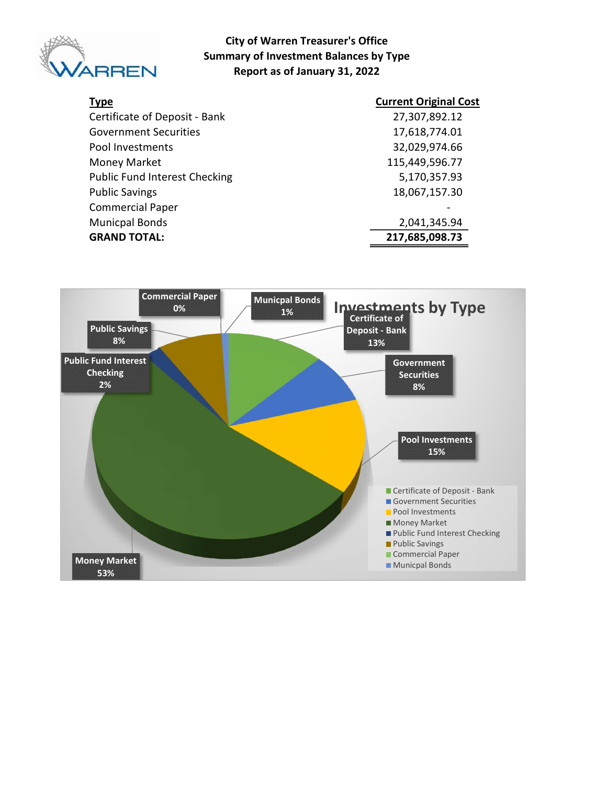

#### City of Warren Treasurer's Office Summary of Investment Balances by Type Report as of January 31, 2022

| <b>Type</b>                          | <b>Current Original Cost</b> |
|--------------------------------------|------------------------------|
| Certificate of Deposit - Bank        | 27,307,892.12                |
| <b>Government Securities</b>         | 17,618,774.01                |
| Pool Investments                     | 32,029,974.66                |
| Money Market                         | 115,449,596.77               |
| <b>Public Fund Interest Checking</b> | 5,170,357.93                 |
| <b>Public Savings</b>                | 18,067,157.30                |
| <b>Commercial Paper</b>              |                              |
| <b>Municpal Bonds</b>                | 2,041,345.94                 |
| <b>GRAND TOTAL:</b>                  | 217,685,098.73               |

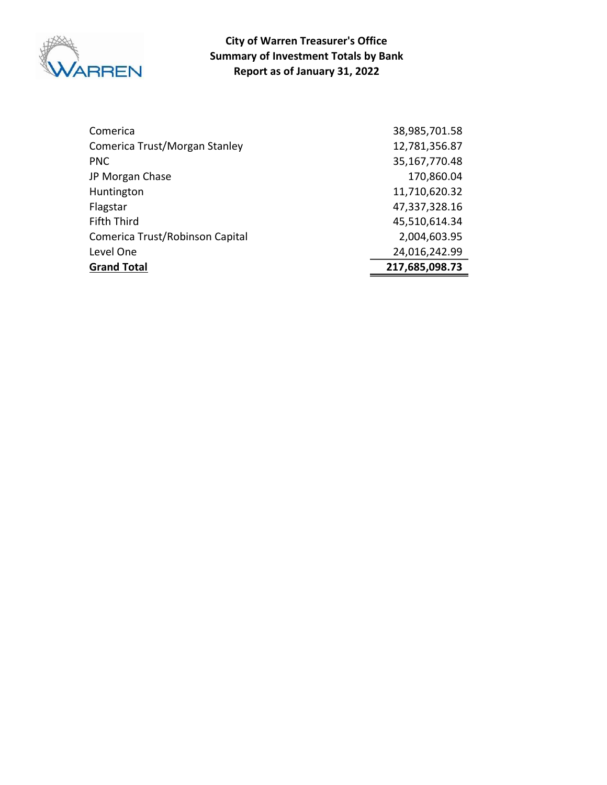

City of Warren Treasurer's Office Summary of Investment Totals by Bank Report as of January 31, 2022

| Comerica                        | 38,985,701.58  |
|---------------------------------|----------------|
| Comerica Trust/Morgan Stanley   | 12,781,356.87  |
| <b>PNC</b>                      | 35,167,770.48  |
| JP Morgan Chase                 | 170,860.04     |
| Huntington                      | 11,710,620.32  |
| Flagstar                        | 47,337,328.16  |
| <b>Fifth Third</b>              | 45,510,614.34  |
| Comerica Trust/Robinson Capital | 2,004,603.95   |
| Level One                       | 24,016,242.99  |
| <b>Grand Total</b>              | 217,685,098.73 |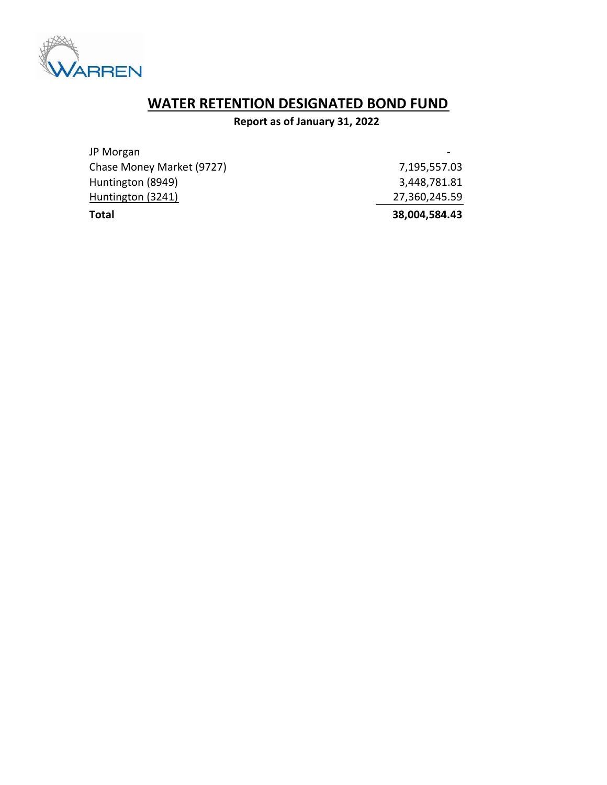

# WATER RETENTION DESIGNATED BOND FUND

### Report as of January 31, 2022

| <b>Total</b>              | 38,004,584.43 |
|---------------------------|---------------|
| Huntington (3241)         | 27,360,245.59 |
| Huntington (8949)         | 3,448,781.81  |
| Chase Money Market (9727) | 7,195,557.03  |
| JP Morgan                 |               |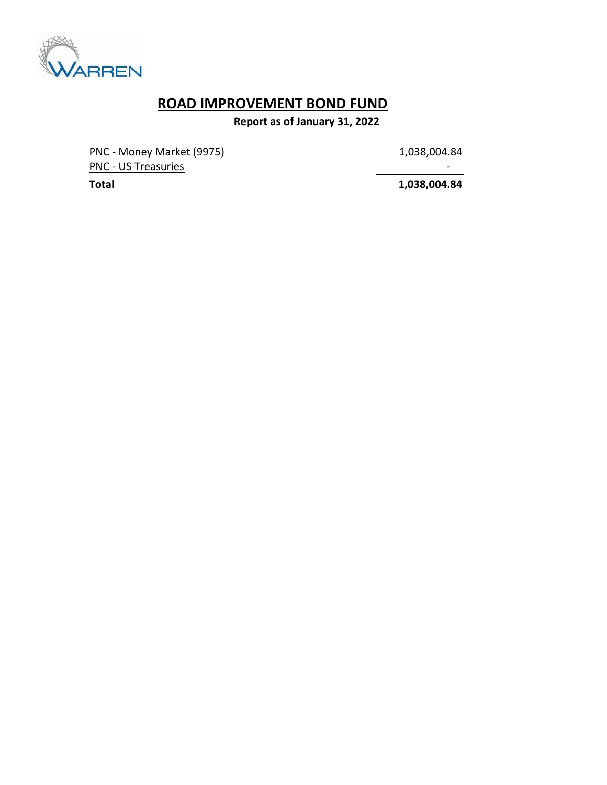

## ROAD IMPROVEMENT BOND FUND

Report as of January 31, 2022

PNC - Money Market (9975) 1,038,004.84 PNC - US Treasuries - Andreasuries - Andreasuries - Andreasuries - Andreasuries - Andreasuries - Andreasuries

Total 1,038,004.84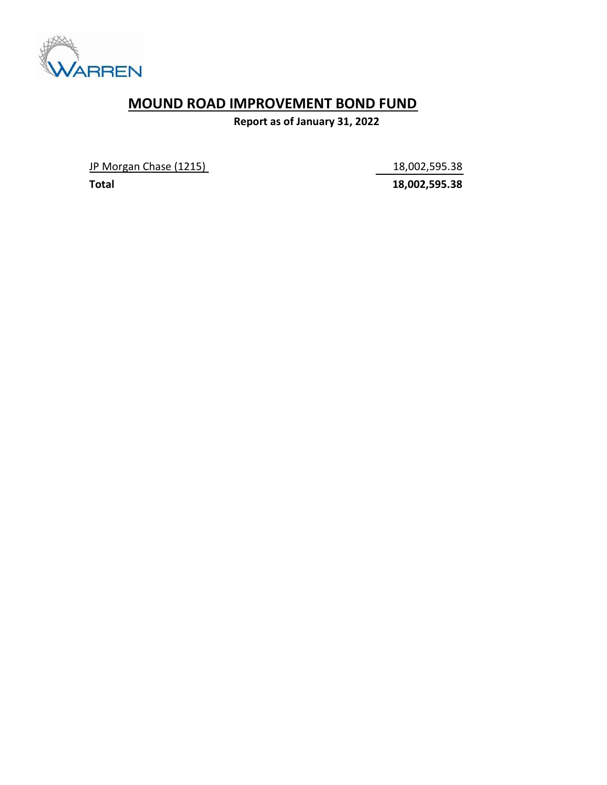

### MOUND ROAD IMPROVEMENT BOND FUND

Report as of January 31, 2022

JP Morgan Chase (1215) 18,002,595.38

Total 18,002,595.38